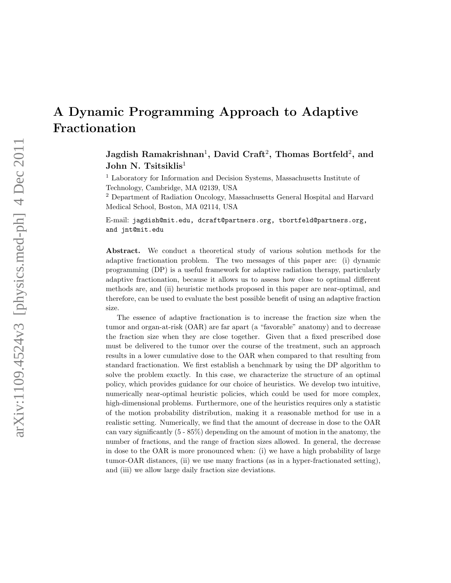# A Dynamic Programming Approach to Adaptive Fractionation

Jagdish Ramakrishnan<sup>1</sup>, David Craft<sup>2</sup>, Thomas Bortfeld<sup>2</sup>, and John N. Tsitsiklis<sup>1</sup>

<sup>1</sup> Laboratory for Information and Decision Systems, Massachusetts Institute of Technology, Cambridge, MA 02139, USA

<sup>2</sup> Department of Radiation Oncology, Massachusetts General Hospital and Harvard Medical School, Boston, MA 02114, USA

E-mail: jagdish@mit.edu, dcraft@partners.org, tbortfeld@partners.org, and jnt@mit.edu

Abstract. We conduct a theoretical study of various solution methods for the adaptive fractionation problem. The two messages of this paper are: (i) dynamic programming (DP) is a useful framework for adaptive radiation therapy, particularly adaptive fractionation, because it allows us to assess how close to optimal different methods are, and (ii) heuristic methods proposed in this paper are near-optimal, and therefore, can be used to evaluate the best possible benefit of using an adaptive fraction size.

The essence of adaptive fractionation is to increase the fraction size when the tumor and organ-at-risk (OAR) are far apart (a "favorable" anatomy) and to decrease the fraction size when they are close together. Given that a fixed prescribed dose must be delivered to the tumor over the course of the treatment, such an approach results in a lower cumulative dose to the OAR when compared to that resulting from standard fractionation. We first establish a benchmark by using the DP algorithm to solve the problem exactly. In this case, we characterize the structure of an optimal policy, which provides guidance for our choice of heuristics. We develop two intuitive, numerically near-optimal heuristic policies, which could be used for more complex, high-dimensional problems. Furthermore, one of the heuristics requires only a statistic of the motion probability distribution, making it a reasonable method for use in a realistic setting. Numerically, we find that the amount of decrease in dose to the OAR can vary significantly (5 - 85%) depending on the amount of motion in the anatomy, the number of fractions, and the range of fraction sizes allowed. In general, the decrease in dose to the OAR is more pronounced when: (i) we have a high probability of large tumor-OAR distances, (ii) we use many fractions (as in a hyper-fractionated setting), and (iii) we allow large daily fraction size deviations.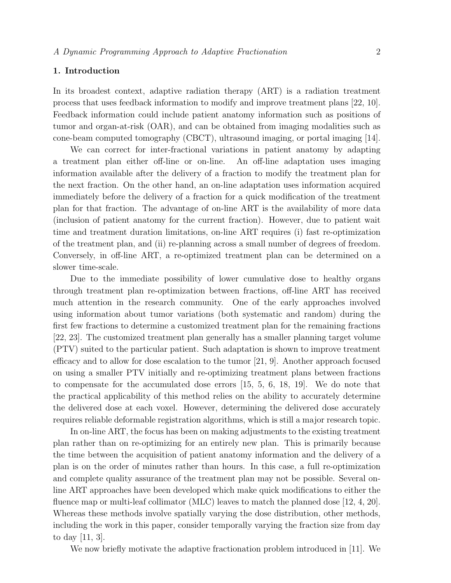# 1. Introduction

In its broadest context, adaptive radiation therapy (ART) is a radiation treatment process that uses feedback information to modify and improve treatment plans [22, 10]. Feedback information could include patient anatomy information such as positions of tumor and organ-at-risk (OAR), and can be obtained from imaging modalities such as cone-beam computed tomography (CBCT), ultrasound imaging, or portal imaging [14].

We can correct for inter-fractional variations in patient anatomy by adapting a treatment plan either off-line or on-line. An off-line adaptation uses imaging information available after the delivery of a fraction to modify the treatment plan for the next fraction. On the other hand, an on-line adaptation uses information acquired immediately before the delivery of a fraction for a quick modification of the treatment plan for that fraction. The advantage of on-line ART is the availability of more data (inclusion of patient anatomy for the current fraction). However, due to patient wait time and treatment duration limitations, on-line ART requires (i) fast re-optimization of the treatment plan, and (ii) re-planning across a small number of degrees of freedom. Conversely, in off-line ART, a re-optimized treatment plan can be determined on a slower time-scale.

Due to the immediate possibility of lower cumulative dose to healthy organs through treatment plan re-optimization between fractions, off-line ART has received much attention in the research community. One of the early approaches involved using information about tumor variations (both systematic and random) during the first few fractions to determine a customized treatment plan for the remaining fractions [22, 23]. The customized treatment plan generally has a smaller planning target volume (PTV) suited to the particular patient. Such adaptation is shown to improve treatment efficacy and to allow for dose escalation to the tumor [21, 9]. Another approach focused on using a smaller PTV initially and re-optimizing treatment plans between fractions to compensate for the accumulated dose errors [15, 5, 6, 18, 19]. We do note that the practical applicability of this method relies on the ability to accurately determine the delivered dose at each voxel. However, determining the delivered dose accurately requires reliable deformable registration algorithms, which is still a major research topic.

In on-line ART, the focus has been on making adjustments to the existing treatment plan rather than on re-optimizing for an entirely new plan. This is primarily because the time between the acquisition of patient anatomy information and the delivery of a plan is on the order of minutes rather than hours. In this case, a full re-optimization and complete quality assurance of the treatment plan may not be possible. Several online ART approaches have been developed which make quick modifications to either the fluence map or multi-leaf collimator (MLC) leaves to match the planned dose [12, 4, 20]. Whereas these methods involve spatially varying the dose distribution, other methods, including the work in this paper, consider temporally varying the fraction size from day to day [11, 3].

We now briefly motivate the adaptive fractionation problem introduced in [11]. We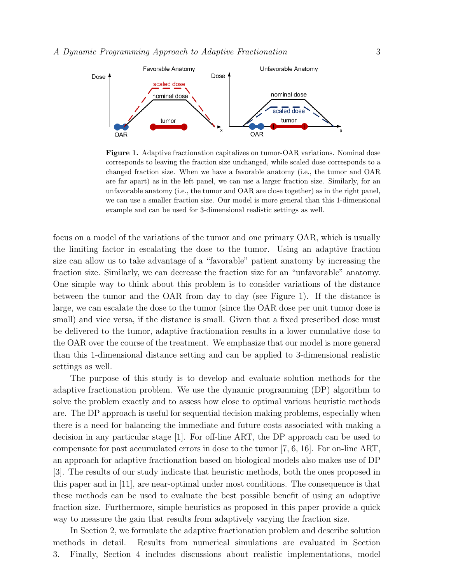

Figure 1. Adaptive fractionation capitalizes on tumor-OAR variations. Nominal dose corresponds to leaving the fraction size unchanged, while scaled dose corresponds to a changed fraction size. When we have a favorable anatomy (i.e., the tumor and OAR are far apart) as in the left panel, we can use a larger fraction size. Similarly, for an unfavorable anatomy (i.e., the tumor and OAR are close together) as in the right panel, we can use a smaller fraction size. Our model is more general than this 1-dimensional example and can be used for 3-dimensional realistic settings as well.

focus on a model of the variations of the tumor and one primary OAR, which is usually the limiting factor in escalating the dose to the tumor. Using an adaptive fraction size can allow us to take advantage of a "favorable" patient anatomy by increasing the fraction size. Similarly, we can decrease the fraction size for an "unfavorable" anatomy. One simple way to think about this problem is to consider variations of the distance between the tumor and the OAR from day to day (see Figure 1). If the distance is large, we can escalate the dose to the tumor (since the OAR dose per unit tumor dose is small) and vice versa, if the distance is small. Given that a fixed prescribed dose must be delivered to the tumor, adaptive fractionation results in a lower cumulative dose to the OAR over the course of the treatment. We emphasize that our model is more general than this 1-dimensional distance setting and can be applied to 3-dimensional realistic settings as well.

The purpose of this study is to develop and evaluate solution methods for the adaptive fractionation problem. We use the dynamic programming (DP) algorithm to solve the problem exactly and to assess how close to optimal various heuristic methods are. The DP approach is useful for sequential decision making problems, especially when there is a need for balancing the immediate and future costs associated with making a decision in any particular stage [1]. For off-line ART, the DP approach can be used to compensate for past accumulated errors in dose to the tumor [7, 6, 16]. For on-line ART, an approach for adaptive fractionation based on biological models also makes use of DP [3]. The results of our study indicate that heuristic methods, both the ones proposed in this paper and in [11], are near-optimal under most conditions. The consequence is that these methods can be used to evaluate the best possible benefit of using an adaptive fraction size. Furthermore, simple heuristics as proposed in this paper provide a quick way to measure the gain that results from adaptively varying the fraction size.

In Section 2, we formulate the adaptive fractionation problem and describe solution methods in detail. Results from numerical simulations are evaluated in Section 3. Finally, Section 4 includes discussions about realistic implementations, model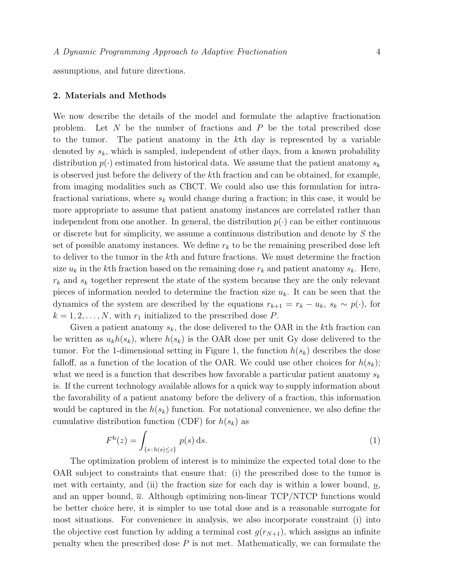assumptions, and future directions.

#### 2. Materials and Methods

We now describe the details of the model and formulate the adaptive fractionation problem. Let  $N$  be the number of fractions and  $P$  be the total prescribed dose to the tumor. The patient anatomy in the kth day is represented by a variable denoted by  $s_k$ , which is sampled, independent of other days, from a known probability distribution  $p(\cdot)$  estimated from historical data. We assume that the patient anatomy  $s_k$ is observed just before the delivery of the kth fraction and can be obtained, for example, from imaging modalities such as CBCT. We could also use this formulation for intrafractional variations, where  $s_k$  would change during a fraction; in this case, it would be more appropriate to assume that patient anatomy instances are correlated rather than independent from one another. In general, the distribution  $p(\cdot)$  can be either continuous or discrete but for simplicity, we assume a continuous distribution and denote by S the set of possible anatomy instances. We define  $r_k$  to be the remaining prescribed dose left to deliver to the tumor in the kth and future fractions. We must determine the fraction size  $u_k$  in the kth fraction based on the remaining dose  $r_k$  and patient anatomy  $s_k$ . Here,  $r_k$  and  $s_k$  together represent the state of the system because they are the only relevant pieces of information needed to determine the fraction size  $u_k$ . It can be seen that the dynamics of the system are described by the equations  $r_{k+1} = r_k - u_k$ ,  $s_k \sim p(\cdot)$ , for  $k = 1, 2, \ldots, N$ , with  $r_1$  initialized to the prescribed dose P.

Given a patient anatomy  $s_k$ , the dose delivered to the OAR in the k<sup>th</sup> fraction can be written as  $u_k h(s_k)$ , where  $h(s_k)$  is the OAR dose per unit Gy dose delivered to the tumor. For the 1-dimensional setting in Figure 1, the function  $h(s_k)$  describes the dose falloff, as a function of the location of the OAR. We could use other choices for  $h(s_k)$ ; what we need is a function that describes how favorable a particular patient anatomy  $s_k$ is. If the current technology available allows for a quick way to supply information about the favorability of a patient anatomy before the delivery of a fraction, this information would be captured in the  $h(s_k)$  function. For notational convenience, we also define the cumulative distribution function (CDF) for  $h(s_k)$  as

$$
Fh(z) = \int_{\{s \,:\, h(s) \le z\}} p(s) \,ds. \tag{1}
$$

The optimization problem of interest is to minimize the expected total dose to the OAR subject to constraints that ensure that: (i) the prescribed dose to the tumor is met with certainty, and (ii) the fraction size for each day is within a lower bound,  $u$ , and an upper bound,  $\overline{u}$ . Although optimizing non-linear TCP/NTCP functions would be better choice here, it is simpler to use total dose and is a reasonable surrogate for most situations. For convenience in analysis, we also incorporate constraint (i) into the objective cost function by adding a terminal cost  $g(r_{N+1})$ , which assigns an infinite penalty when the prescribed dose  $P$  is not met. Mathematically, we can formulate the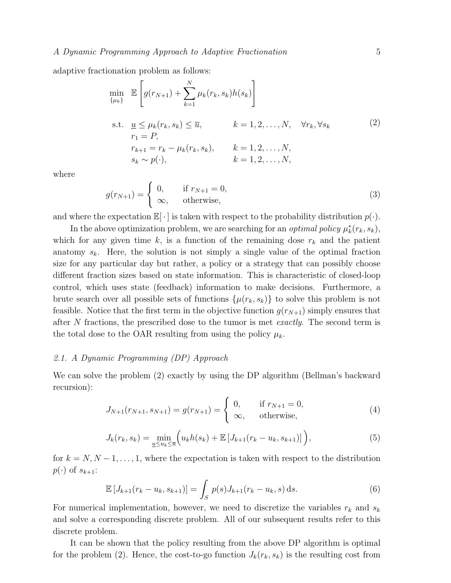adaptive fractionation problem as follows:

$$
\min_{\{\mu_k\}} \mathbb{E}\left[g(r_{N+1}) + \sum_{k=1}^{N} \mu_k(r_k, s_k)h(s_k)\right]
$$
\n  
\n
$$
\text{s.t. } \underbrace{u}_{r_1} \leq \mu_k(r_k, s_k) \leq \overline{u}, \qquad k = 1, 2, \dots, N, \quad \forall r_k, \forall s_k
$$
\n
$$
r_1 = P,
$$
\n
$$
r_{k+1} = r_k - \mu_k(r_k, s_k), \qquad k = 1, 2, \dots, N,
$$
\n
$$
s_k \sim p(\cdot), \qquad k = 1, 2, \dots, N,
$$
\n
$$
k = 1, 2, \dots, N,
$$

where

$$
g(r_{N+1}) = \begin{cases} 0, & \text{if } r_{N+1} = 0, \\ \infty, & \text{otherwise,} \end{cases}
$$
 (3)

and where the expectation  $\mathbb{E}[\cdot]$  is taken with respect to the probability distribution  $p(\cdot)$ .

In the above optimization problem, we are searching for an *optimal policy*  $\mu_k^*(r_k, s_k)$ , which for any given time k, is a function of the remaining dose  $r_k$  and the patient anatomy  $s_k$ . Here, the solution is not simply a single value of the optimal fraction size for any particular day but rather, a policy or a strategy that can possibly choose different fraction sizes based on state information. This is characteristic of closed-loop control, which uses state (feedback) information to make decisions. Furthermore, a brute search over all possible sets of functions  $\{\mu(r_k, s_k)\}\)$  to solve this problem is not feasible. Notice that the first term in the objective function  $g(r_{N+1})$  simply ensures that after N fractions, the prescribed dose to the tumor is met *exactly*. The second term is the total dose to the OAR resulting from using the policy  $\mu_k$ .

#### 2.1. A Dynamic Programming (DP) Approach

We can solve the problem (2) exactly by using the DP algorithm (Bellman's backward recursion):

$$
J_{N+1}(r_{N+1}, s_{N+1}) = g(r_{N+1}) = \begin{cases} 0, & \text{if } r_{N+1} = 0, \\ \infty, & \text{otherwise,} \end{cases}
$$
 (4)

$$
J_k(r_k, s_k) = \min_{\underline{u} \le u_k \le \overline{u}} \Big( u_k h(s_k) + \mathbb{E} \left[ J_{k+1}(r_k - u_k, s_{k+1}) \right] \Big), \tag{5}
$$

for  $k = N, N - 1, \ldots, 1$ , where the expectation is taken with respect to the distribution  $p(\cdot)$  of  $s_{k+1}$ :

$$
\mathbb{E}\left[J_{k+1}(r_k - u_k, s_{k+1})\right] = \int_S p(s)J_{k+1}(r_k - u_k, s) \,ds. \tag{6}
$$

For numerical implementation, however, we need to discretize the variables  $r_k$  and  $s_k$ and solve a corresponding discrete problem. All of our subsequent results refer to this discrete problem.

It can be shown that the policy resulting from the above DP algorithm is optimal for the problem (2). Hence, the cost-to-go function  $J_k(r_k, s_k)$  is the resulting cost from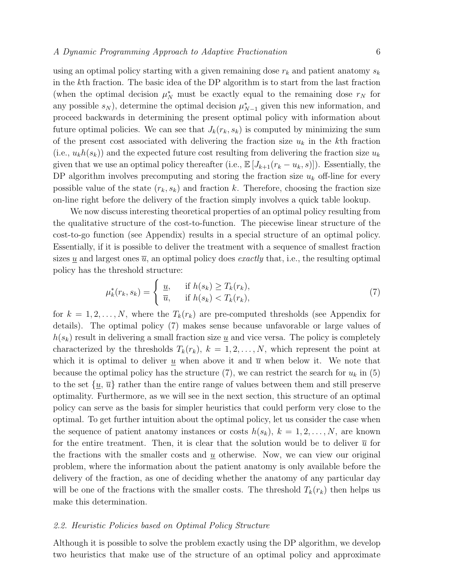using an optimal policy starting with a given remaining dose  $r_k$  and patient anatomy  $s_k$ in the kth fraction. The basic idea of the DP algorithm is to start from the last fraction (when the optimal decision  $\mu_N^*$  must be exactly equal to the remaining dose  $r_N$  for any possible  $s_N$ ), determine the optimal decision  $\mu_{N-1}^*$  given this new information, and proceed backwards in determining the present optimal policy with information about future optimal policies. We can see that  $J_k(r_k, s_k)$  is computed by minimizing the sum of the present cost associated with delivering the fraction size  $u_k$  in the kth fraction  $(i.e., u_k h(s_k))$  and the expected future cost resulting from delivering the fraction size  $u_k$ given that we use an optimal policy thereafter (i.e.,  $\mathbb{E}[J_{k+1}(r_k-u_k,s)]$ ). Essentially, the DP algorithm involves precomputing and storing the fraction size  $u_k$  off-line for every possible value of the state  $(r_k, s_k)$  and fraction k. Therefore, choosing the fraction size on-line right before the delivery of the fraction simply involves a quick table lookup.

We now discuss interesting theoretical properties of an optimal policy resulting from the qualitative structure of the cost-to-function. The piecewise linear structure of the cost-to-go function (see Appendix) results in a special structure of an optimal policy. Essentially, if it is possible to deliver the treatment with a sequence of smallest fraction sizes  $\underline{u}$  and largest ones  $\overline{u}$ , an optimal policy does *exactly* that, i.e., the resulting optimal policy has the threshold structure:

$$
\mu_k^*(r_k, s_k) = \begin{cases} \underline{u}, & \text{if } h(s_k) \ge T_k(r_k), \\ \overline{u}, & \text{if } h(s_k) < T_k(r_k), \end{cases} \tag{7}
$$

for  $k = 1, 2, ..., N$ , where the  $T_k(r_k)$  are pre-computed thresholds (see Appendix for details). The optimal policy (7) makes sense because unfavorable or large values of  $h(s_k)$  result in delivering a small fraction size  $\underline{u}$  and vice versa. The policy is completely characterized by the thresholds  $T_k(r_k)$ ,  $k = 1, 2, ..., N$ , which represent the point at which it is optimal to deliver  $\underline{u}$  when above it and  $\overline{u}$  when below it. We note that because the optimal policy has the structure (7), we can restrict the search for  $u_k$  in (5) to the set  $\{\underline{u}, \overline{u}\}\$  rather than the entire range of values between them and still preserve optimality. Furthermore, as we will see in the next section, this structure of an optimal policy can serve as the basis for simpler heuristics that could perform very close to the optimal. To get further intuition about the optimal policy, let us consider the case when the sequence of patient anatomy instances or costs  $h(s_k)$ ,  $k = 1, 2, \ldots, N$ , are known for the entire treatment. Then, it is clear that the solution would be to deliver  $\bar{u}$  for the fractions with the smaller costs and  $\mu$  otherwise. Now, we can view our original problem, where the information about the patient anatomy is only available before the delivery of the fraction, as one of deciding whether the anatomy of any particular day will be one of the fractions with the smaller costs. The threshold  $T_k(r_k)$  then helps us make this determination.

# 2.2. Heuristic Policies based on Optimal Policy Structure

Although it is possible to solve the problem exactly using the DP algorithm, we develop two heuristics that make use of the structure of an optimal policy and approximate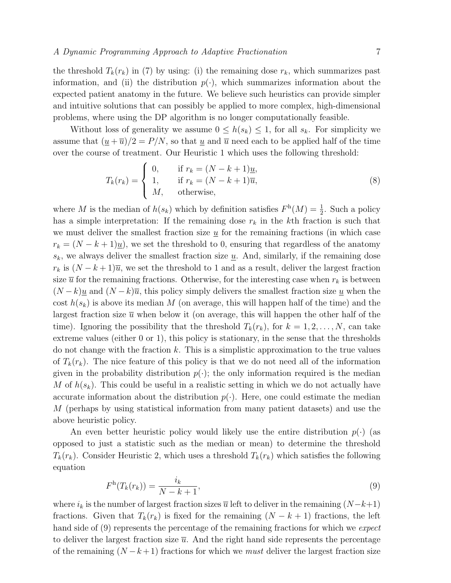the threshold  $T_k(r_k)$  in (7) by using: (i) the remaining dose  $r_k$ , which summarizes past information, and (ii) the distribution  $p(\cdot)$ , which summarizes information about the expected patient anatomy in the future. We believe such heuristics can provide simpler and intuitive solutions that can possibly be applied to more complex, high-dimensional problems, where using the DP algorithm is no longer computationally feasible.

Without loss of generality we assume  $0 \leq h(s_k) \leq 1$ , for all  $s_k$ . For simplicity we assume that  $(\underline{u} + \overline{u})/2 = P/N$ , so that  $\underline{u}$  and  $\overline{u}$  need each to be applied half of the time over the course of treatment. Our Heuristic 1 which uses the following threshold:

$$
T_k(r_k) = \begin{cases} 0, & \text{if } r_k = (N - k + 1)\underline{u}, \\ 1, & \text{if } r_k = (N - k + 1)\overline{u}, \\ M, & \text{otherwise,} \end{cases} \tag{8}
$$

where M is the median of  $h(s_k)$  which by definition satisfies  $F<sup>h</sup>(M) = \frac{1}{2}$ . Such a policy has a simple interpretation: If the remaining dose  $r_k$  in the kth fraction is such that we must deliver the smallest fraction size  $\underline{u}$  for the remaining fractions (in which case  $r_k = (N - k + 1)\underline{u}$ , we set the threshold to 0, ensuring that regardless of the anatomy  $s_k$ , we always deliver the smallest fraction size  $\underline{u}$ . And, similarly, if the remaining dose  $r_k$  is  $(N-k+1)\overline{u}$ , we set the threshold to 1 and as a result, deliver the largest fraction size  $\bar{u}$  for the remaining fractions. Otherwise, for the interesting case when  $r_k$  is between  $(N-k)\underline{u}$  and  $(N-k)\overline{u}$ , this policy simply delivers the smallest fraction size <u>u</u> when the cost  $h(s_k)$  is above its median M (on average, this will happen half of the time) and the largest fraction size  $\bar{u}$  when below it (on average, this will happen the other half of the time). Ignoring the possibility that the threshold  $T_k(r_k)$ , for  $k = 1, 2, ..., N$ , can take extreme values (either 0 or 1), this policy is stationary, in the sense that the thresholds do not change with the fraction  $k$ . This is a simplistic approximation to the true values of  $T_k(r_k)$ . The nice feature of this policy is that we do not need all of the information given in the probability distribution  $p(\cdot)$ ; the only information required is the median M of  $h(s_k)$ . This could be useful in a realistic setting in which we do not actually have accurate information about the distribution  $p(\cdot)$ . Here, one could estimate the median M (perhaps by using statistical information from many patient datasets) and use the above heuristic policy.

An even better heuristic policy would likely use the entire distribution  $p(\cdot)$  (as opposed to just a statistic such as the median or mean) to determine the threshold  $T_k(r_k)$ . Consider Heuristic 2, which uses a threshold  $T_k(r_k)$  which satisfies the following equation

$$
F^{\mathrm{h}}(T_k(r_k)) = \frac{i_k}{N - k + 1},\tag{9}
$$

where  $i_k$  is the number of largest fraction sizes  $\overline{u}$  left to deliver in the remaining  $(N-k+1)$ fractions. Given that  $T_k(r_k)$  is fixed for the remaining  $(N - k + 1)$  fractions, the left hand side of (9) represents the percentage of the remaining fractions for which we expect to deliver the largest fraction size  $\overline{u}$ . And the right hand side represents the percentage of the remaining  $(N - k + 1)$  fractions for which we *must* deliver the largest fraction size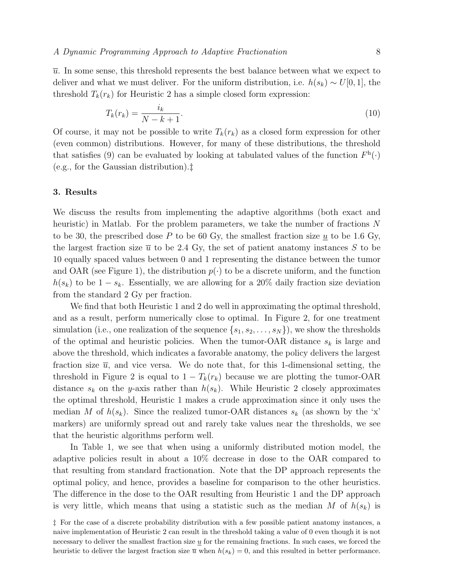$\overline{u}$ . In some sense, this threshold represents the best balance between what we expect to deliver and what we must deliver. For the uniform distribution, i.e.  $h(s_k) \sim U[0, 1]$ , the threshold  $T_k(r_k)$  for Heuristic 2 has a simple closed form expression:

$$
T_k(r_k) = \frac{i_k}{N - k + 1}.\tag{10}
$$

Of course, it may not be possible to write  $T_k(r_k)$  as a closed form expression for other (even common) distributions. However, for many of these distributions, the threshold that satisfies (9) can be evaluated by looking at tabulated values of the function  $F<sup>h</sup>(.)$ (e.g., for the Gaussian distribution).‡

# 3. Results

We discuss the results from implementing the adaptive algorithms (both exact and heuristic) in Matlab. For the problem parameters, we take the number of fractions N to be 30, the prescribed dose P to be 60 Gy, the smallest fraction size u to be 1.6 Gy, the largest fraction size  $\bar{u}$  to be 2.4 Gy, the set of patient anatomy instances S to be 10 equally spaced values between 0 and 1 representing the distance between the tumor and OAR (see Figure 1), the distribution  $p(\cdot)$  to be a discrete uniform, and the function  $h(s_k)$  to be  $1 - s_k$ . Essentially, we are allowing for a 20% daily fraction size deviation from the standard 2 Gy per fraction.

We find that both Heuristic 1 and 2 do well in approximating the optimal threshold, and as a result, perform numerically close to optimal. In Figure 2, for one treatment simulation (i.e., one realization of the sequence  $\{s_1, s_2, \ldots, s_N\}$ ), we show the thresholds of the optimal and heuristic policies. When the tumor-OAR distance  $s_k$  is large and above the threshold, which indicates a favorable anatomy, the policy delivers the largest fraction size  $\bar{u}$ , and vice versa. We do note that, for this 1-dimensional setting, the threshold in Figure 2 is equal to  $1 - T_k(r_k)$  because we are plotting the tumor-OAR distance  $s_k$  on the y-axis rather than  $h(s_k)$ . While Heuristic 2 closely approximates the optimal threshold, Heuristic 1 makes a crude approximation since it only uses the median M of  $h(s_k)$ . Since the realized tumor-OAR distances  $s_k$  (as shown by the 'x' markers) are uniformly spread out and rarely take values near the thresholds, we see that the heuristic algorithms perform well.

In Table 1, we see that when using a uniformly distributed motion model, the adaptive policies result in about a 10% decrease in dose to the OAR compared to that resulting from standard fractionation. Note that the DP approach represents the optimal policy, and hence, provides a baseline for comparison to the other heuristics. The difference in the dose to the OAR resulting from Heuristic 1 and the DP approach is very little, which means that using a statistic such as the median M of  $h(s_k)$  is

<sup>‡</sup> For the case of a discrete probability distribution with a few possible patient anatomy instances, a naive implementation of Heuristic 2 can result in the threshold taking a value of 0 even though it is not necessary to deliver the smallest fraction size  $u$  for the remaining fractions. In such cases, we forced the heuristic to deliver the largest fraction size  $\overline{u}$  when  $h(s_k) = 0$ , and this resulted in better performance.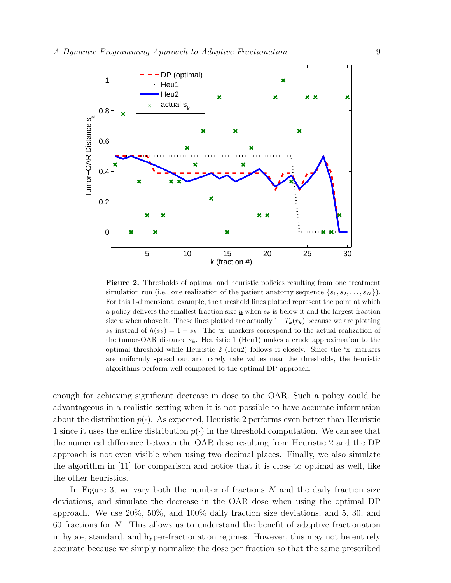

Figure 2. Thresholds of optimal and heuristic policies resulting from one treatment simulation run (i.e., one realization of the patient anatomy sequence  $\{s_1, s_2, \ldots, s_N\}$ ). For this 1-dimensional example, the threshold lines plotted represent the point at which a policy delivers the smallest fraction size  $\underline{u}$  when  $s_k$  is below it and the largest fraction size  $\overline{u}$  when above it. These lines plotted are actually  $1-T_k(r_k)$  because we are plotting  $s_k$  instead of  $h(s_k) = 1 - s_k$ . The 'x' markers correspond to the actual realization of the tumor-OAR distance  $s_k$ . Heuristic 1 (Heu1) makes a crude approximation to the optimal threshold while Heuristic 2 (Heu2) follows it closely. Since the 'x' markers are uniformly spread out and rarely take values near the thresholds, the heuristic algorithms perform well compared to the optimal DP approach.

enough for achieving significant decrease in dose to the OAR. Such a policy could be advantageous in a realistic setting when it is not possible to have accurate information about the distribution  $p(\cdot)$ . As expected, Heuristic 2 performs even better than Heuristic 1 since it uses the entire distribution  $p(\cdot)$  in the threshold computation. We can see that the numerical difference between the OAR dose resulting from Heuristic 2 and the DP approach is not even visible when using two decimal places. Finally, we also simulate the algorithm in [11] for comparison and notice that it is close to optimal as well, like the other heuristics.

In Figure 3, we vary both the number of fractions  $N$  and the daily fraction size deviations, and simulate the decrease in the OAR dose when using the optimal DP approach. We use 20%, 50%, and 100% daily fraction size deviations, and 5, 30, and 60 fractions for N. This allows us to understand the benefit of adaptive fractionation in hypo-, standard, and hyper-fractionation regimes. However, this may not be entirely accurate because we simply normalize the dose per fraction so that the same prescribed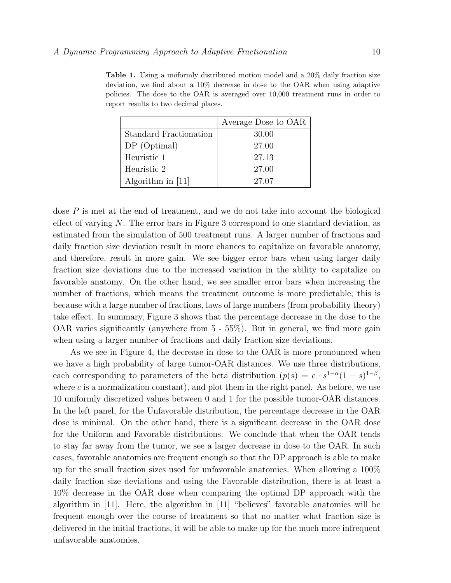Table 1. Using a uniformly distributed motion model and a 20% daily fraction size deviation, we find about a 10% decrease in dose to the OAR when using adaptive policies. The dose to the OAR is averaged over 10,000 treatment runs in order to report results to two decimal places.

|                        | Average Dose to OAR |
|------------------------|---------------------|
| Standard Fractionation | 30.00               |
| $DP$ (Optimal)         | 27.00               |
| Heuristic 1            | 27.13               |
| Heuristic 2            | 27.00               |
| Algorithm in [11]      | 27.07               |

dose  $P$  is met at the end of treatment, and we do not take into account the biological effect of varying  $N$ . The error bars in Figure 3 correspond to one standard deviation, as estimated from the simulation of 500 treatment runs. A larger number of fractions and daily fraction size deviation result in more chances to capitalize on favorable anatomy, and therefore, result in more gain. We see bigger error bars when using larger daily fraction size deviations due to the increased variation in the ability to capitalize on favorable anatomy. On the other hand, we see smaller error bars when increasing the number of fractions, which means the treatment outcome is more predictable; this is because with a large number of fractions, laws of large numbers (from probability theory) take effect. In summary, Figure 3 shows that the percentage decrease in the dose to the OAR varies significantly (anywhere from 5 - 55%). But in general, we find more gain when using a larger number of fractions and daily fraction size deviations.

As we see in Figure 4, the decrease in dose to the OAR is more pronounced when we have a high probability of large tumor-OAR distances. We use three distributions, each corresponding to parameters of the beta distribution  $(p(s) = c \cdot s^{1-\alpha}(1-s)^{1-\beta},$ where  $c$  is a normalization constant), and plot them in the right panel. As before, we use 10 uniformly discretized values between 0 and 1 for the possible tumor-OAR distances. In the left panel, for the Unfavorable distribution, the percentage decrease in the OAR dose is minimal. On the other hand, there is a significant decrease in the OAR dose for the Uniform and Favorable distributions. We conclude that when the OAR tends to stay far away from the tumor, we see a larger decrease in dose to the OAR. In such cases, favorable anatomies are frequent enough so that the DP approach is able to make up for the small fraction sizes used for unfavorable anatomies. When allowing a 100% daily fraction size deviations and using the Favorable distribution, there is at least a 10% decrease in the OAR dose when comparing the optimal DP approach with the algorithm in [11]. Here, the algorithm in [11] "believes" favorable anatomies will be frequent enough over the course of treatment so that no matter what fraction size is delivered in the initial fractions, it will be able to make up for the much more infrequent unfavorable anatomies.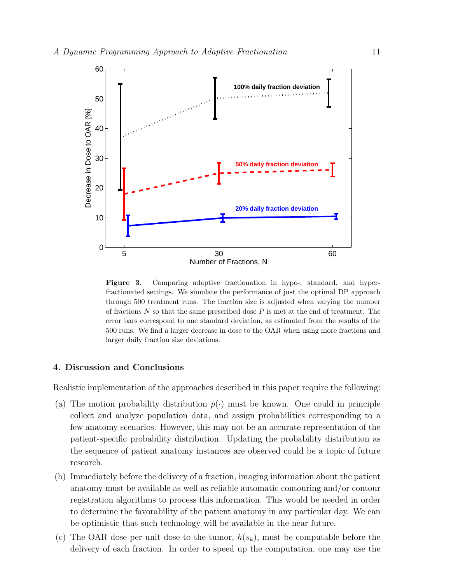

Figure 3. Comparing adaptive fractionation in hypo-, standard, and hyperfractionated settings. We simulate the performance of just the optimal DP approach through 500 treatment runs. The fraction size is adjusted when varying the number of fractions  $N$  so that the same prescribed dose  $P$  is met at the end of treatment. The error bars correspond to one standard deviation, as estimated from the results of the 500 runs. We find a larger decrease in dose to the OAR when using more fractions and larger daily fraction size deviations.

#### 4. Discussion and Conclusions

Realistic implementation of the approaches described in this paper require the following:

- (a) The motion probability distribution  $p(\cdot)$  must be known. One could in principle collect and analyze population data, and assign probabilities corresponding to a few anatomy scenarios. However, this may not be an accurate representation of the patient-specific probability distribution. Updating the probability distribution as the sequence of patient anatomy instances are observed could be a topic of future research.
- (b) Immediately before the delivery of a fraction, imaging information about the patient anatomy must be available as well as reliable automatic contouring and/or contour registration algorithms to process this information. This would be needed in order to determine the favorability of the patient anatomy in any particular day. We can be optimistic that such technology will be available in the near future.
- (c) The OAR dose per unit dose to the tumor,  $h(s_k)$ , must be computable before the delivery of each fraction. In order to speed up the computation, one may use the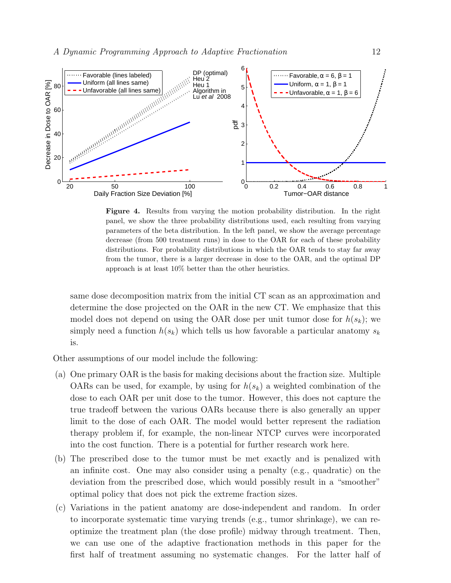

Figure 4. Results from varying the motion probability distribution. In the right panel, we show the three probability distributions used, each resulting from varying parameters of the beta distribution. In the left panel, we show the average percentage decrease (from 500 treatment runs) in dose to the OAR for each of these probability distributions. For probability distributions in which the OAR tends to stay far away from the tumor, there is a larger decrease in dose to the OAR, and the optimal DP approach is at least 10% better than the other heuristics.

same dose decomposition matrix from the initial CT scan as an approximation and determine the dose projected on the OAR in the new CT. We emphasize that this model does not depend on using the OAR dose per unit tumor dose for  $h(s_k)$ ; we simply need a function  $h(s_k)$  which tells us how favorable a particular anatomy  $s_k$ is.

Other assumptions of our model include the following:

- (a) One primary OAR is the basis for making decisions about the fraction size. Multiple OARs can be used, for example, by using for  $h(s_k)$  a weighted combination of the dose to each OAR per unit dose to the tumor. However, this does not capture the true tradeoff between the various OARs because there is also generally an upper limit to the dose of each OAR. The model would better represent the radiation therapy problem if, for example, the non-linear NTCP curves were incorporated into the cost function. There is a potential for further research work here.
- (b) The prescribed dose to the tumor must be met exactly and is penalized with an infinite cost. One may also consider using a penalty (e.g., quadratic) on the deviation from the prescribed dose, which would possibly result in a "smoother" optimal policy that does not pick the extreme fraction sizes.
- (c) Variations in the patient anatomy are dose-independent and random. In order to incorporate systematic time varying trends (e.g., tumor shrinkage), we can reoptimize the treatment plan (the dose profile) midway through treatment. Then, we can use one of the adaptive fractionation methods in this paper for the first half of treatment assuming no systematic changes. For the latter half of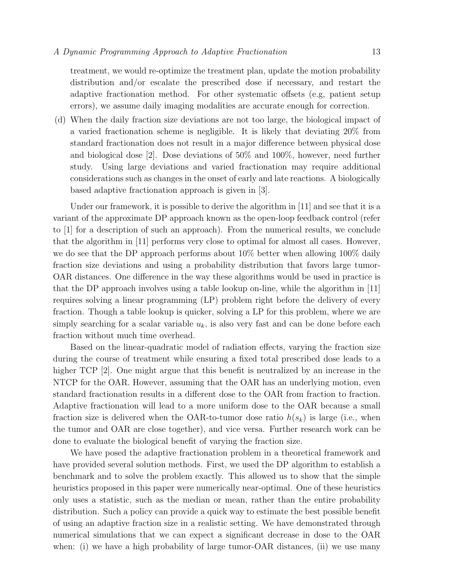treatment, we would re-optimize the treatment plan, update the motion probability distribution and/or escalate the prescribed dose if necessary, and restart the adaptive fractionation method. For other systematic offsets (e.g, patient setup errors), we assume daily imaging modalities are accurate enough for correction.

(d) When the daily fraction size deviations are not too large, the biological impact of a varied fractionation scheme is negligible. It is likely that deviating 20% from standard fractionation does not result in a major difference between physical dose and biological dose [2]. Dose deviations of 50% and 100%, however, need further study. Using large deviations and varied fractionation may require additional considerations such as changes in the onset of early and late reactions. A biologically based adaptive fractionation approach is given in [3].

Under our framework, it is possible to derive the algorithm in [11] and see that it is a variant of the approximate DP approach known as the open-loop feedback control (refer to [1] for a description of such an approach). From the numerical results, we conclude that the algorithm in [11] performs very close to optimal for almost all cases. However, we do see that the DP approach performs about 10% better when allowing 100% daily fraction size deviations and using a probability distribution that favors large tumor-OAR distances. One difference in the way these algorithms would be used in practice is that the DP approach involves using a table lookup on-line, while the algorithm in [11] requires solving a linear programming (LP) problem right before the delivery of every fraction. Though a table lookup is quicker, solving a LP for this problem, where we are simply searching for a scalar variable  $u_k$ , is also very fast and can be done before each fraction without much time overhead.

Based on the linear-quadratic model of radiation effects, varying the fraction size during the course of treatment while ensuring a fixed total prescribed dose leads to a higher TCP [2]. One might argue that this benefit is neutralized by an increase in the NTCP for the OAR. However, assuming that the OAR has an underlying motion, even standard fractionation results in a different dose to the OAR from fraction to fraction. Adaptive fractionation will lead to a more uniform dose to the OAR because a small fraction size is delivered when the OAR-to-tumor dose ratio  $h(s_k)$  is large (i.e., when the tumor and OAR are close together), and vice versa. Further research work can be done to evaluate the biological benefit of varying the fraction size.

We have posed the adaptive fractionation problem in a theoretical framework and have provided several solution methods. First, we used the DP algorithm to establish a benchmark and to solve the problem exactly. This allowed us to show that the simple heuristics proposed in this paper were numerically near-optimal. One of these heuristics only uses a statistic, such as the median or mean, rather than the entire probability distribution. Such a policy can provide a quick way to estimate the best possible benefit of using an adaptive fraction size in a realistic setting. We have demonstrated through numerical simulations that we can expect a significant decrease in dose to the OAR when: (i) we have a high probability of large tumor-OAR distances, (ii) we use many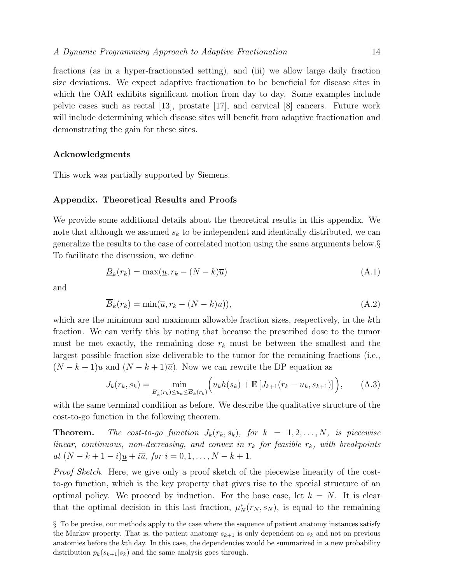fractions (as in a hyper-fractionated setting), and (iii) we allow large daily fraction size deviations. We expect adaptive fractionation to be beneficial for disease sites in which the OAR exhibits significant motion from day to day. Some examples include pelvic cases such as rectal [13], prostate [17], and cervical [8] cancers. Future work will include determining which disease sites will benefit from adaptive fractionation and demonstrating the gain for these sites.

# Acknowledgments

This work was partially supported by Siemens.

#### Appendix. Theoretical Results and Proofs

We provide some additional details about the theoretical results in this appendix. We note that although we assumed  $s_k$  to be independent and identically distributed, we can generalize the results to the case of correlated motion using the same arguments below.§ To facilitate the discussion, we define

$$
\underline{B}_k(r_k) = \max(\underline{u}, r_k - (N - k)\overline{u})\tag{A.1}
$$

and

$$
\overline{B}_k(r_k) = \min(\overline{u}, r_k - (N - k)\underline{u})),\tag{A.2}
$$

which are the minimum and maximum allowable fraction sizes, respectively, in the kth fraction. We can verify this by noting that because the prescribed dose to the tumor must be met exactly, the remaining dose  $r_k$  must be between the smallest and the largest possible fraction size deliverable to the tumor for the remaining fractions (i.e.,  $(N - k + 1)\underline{u}$  and  $(N - k + 1)\overline{u}$ . Now we can rewrite the DP equation as

$$
J_k(r_k, s_k) = \min_{\underline{B}_k(r_k) \le u_k \le \overline{B}_k(r_k)} \Big( u_k h(s_k) + \mathbb{E} \left[ J_{k+1}(r_k - u_k, s_{k+1}) \right] \Big), \tag{A.3}
$$

with the same terminal condition as before. We describe the qualitative structure of the cost-to-go function in the following theorem.

**Theorem.** The cost-to-go function  $J_k(r_k, s_k)$ , for  $k = 1, 2, ..., N$ , is piecewise linear, continuous, non-decreasing, and convex in  $r_k$  for feasible  $r_k$ , with breakpoints at  $(N - k + 1 - i)\underline{u} + i\overline{u}$ , for  $i = 0, 1, ..., N - k + 1$ .

Proof Sketch. Here, we give only a proof sketch of the piecewise linearity of the costto-go function, which is the key property that gives rise to the special structure of an optimal policy. We proceed by induction. For the base case, let  $k = N$ . It is clear that the optimal decision in this last fraction,  $\mu_N^*(r_N, s_N)$ , is equal to the remaining

<sup>§</sup> To be precise, our methods apply to the case where the sequence of patient anatomy instances satisfy the Markov property. That is, the patient anatomy  $s_{k+1}$  is only dependent on  $s_k$  and not on previous anatomies before the kth day. In this case, the dependencies would be summarized in a new probability distribution  $p_k(s_{k+1}|s_k)$  and the same analysis goes through.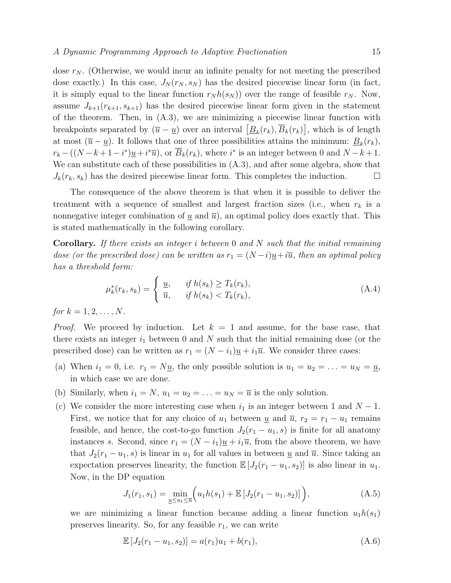dose  $r_N$ . (Otherwise, we would incur an infinite penalty for not meeting the prescribed dose exactly.) In this case,  $J_N(r_N, s_N)$  has the desired piecewise linear form (in fact, it is simply equal to the linear function  $r_N h(s_N)$  over the range of feasible  $r_N$ . Now, assume  $J_{k+1}(r_{k+1}, s_{k+1})$  has the desired piecewise linear form given in the statement of the theorem. Then, in (A.3), we are minimizing a piecewise linear function with breakpoints separated by  $(\overline{u} - \underline{u})$  over an interval  $[\underline{B}_k(r_k), \overline{B}_k(r_k)]$ , which is of length at most  $(\overline{u} - \underline{u})$ . It follows that one of three possibilities attains the minimum:  $\underline{B}_k(r_k)$ ,  $r_k - ((N - k + 1 - i^*)\underline{u} + i^*\overline{u})$ , or  $\overline{B}_k(r_k)$ , where  $i^*$  is an integer between 0 and  $N - k + 1$ . We can substitute each of these possibilities in  $(A.3)$ , and after some algebra, show that  $J_k(r_k, s_k)$  has the desired piecewise linear form. This completes the induction.

The consequence of the above theorem is that when it is possible to deliver the treatment with a sequence of smallest and largest fraction sizes (i.e., when  $r_k$  is a nonnegative integer combination of  $\underline{u}$  and  $\overline{u}$ ), an optimal policy does exactly that. This is stated mathematically in the following corollary.

**Corollary.** If there exists an integer i between 0 and N such that the initial remaining dose (or the prescribed dose) can be written as  $r_1 = (N - i)\underline{u} + i\overline{u}$ , then an optimal policy has a threshold form:

$$
\mu_k^*(r_k, s_k) = \begin{cases} \underline{u}, & \text{if } h(s_k) \ge T_k(r_k), \\ \overline{u}, & \text{if } h(s_k) < T_k(r_k), \end{cases} \tag{A.4}
$$

for  $k = 1, 2, ..., N$ .

*Proof.* We proceed by induction. Let  $k = 1$  and assume, for the base case, that there exists an integer  $i_1$  between 0 and N such that the initial remaining dose (or the prescribed dose) can be written as  $r_1 = (N - i_1)\underline{u} + i_1\overline{u}$ . We consider three cases:

- (a) When  $i_1 = 0$ , i.e.  $r_1 = N\underline{u}$ , the only possible solution is  $u_1 = u_2 = \ldots = u_N = \underline{u}$ , in which case we are done.
- (b) Similarly, when  $i_1 = N$ ,  $u_1 = u_2 = \ldots = u_N = \overline{u}$  is the only solution.
- (c) We consider the more interesting case when  $i_1$  is an integer between 1 and  $N-1$ . First, we notice that for any choice of  $u_1$  between  $\underline{u}$  and  $\overline{u}$ ,  $r_2 = r_1 - u_1$  remains feasible, and hence, the cost-to-go function  $J_2(r_1 - u_1, s)$  is finite for all anatomy instances s. Second, since  $r_1 = (N - i_1)\underline{u} + i_1\overline{u}$ , from the above theorem, we have that  $J_2(r_1 - u_1, s)$  is linear in  $u_1$  for all values in between  $\underline{u}$  and  $\overline{u}$ . Since taking an expectation preserves linearity, the function  $\mathbb{E}[J_2(r_1 - u_1, s_2)]$  is also linear in  $u_1$ . Now, in the DP equation

$$
J_1(r_1, s_1) = \min_{\underline{u} \le u_1 \le \overline{u}} \Big( u_1 h(s_1) + \mathbb{E} \left[ J_2(r_1 - u_1, s_2) \right] \Big), \tag{A.5}
$$

we are minimizing a linear function because adding a linear function  $u_1h(s_1)$ preserves linearity. So, for any feasible  $r_1$ , we can write

$$
\mathbb{E}[J_2(r_1 - u_1, s_2)] = a(r_1)u_1 + b(r_1), \tag{A.6}
$$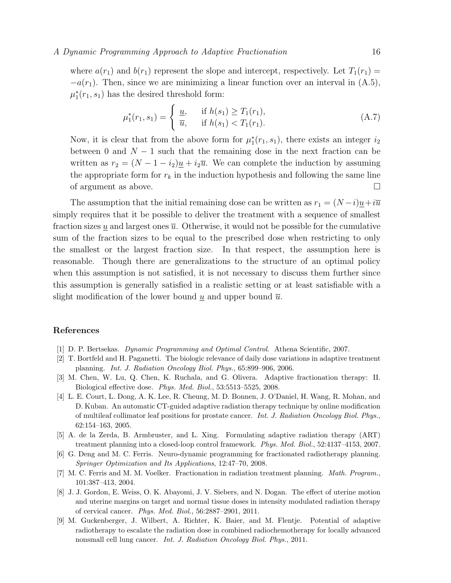#### A Dynamic Programming Approach to Adaptive Fractionation 16

where  $a(r_1)$  and  $b(r_1)$  represent the slope and intercept, respectively. Let  $T_1(r_1)$  =  $-a(r_1)$ . Then, since we are minimizing a linear function over an interval in  $(A.5)$ ,  $\mu_1^*(r_1, s_1)$  has the desired threshold form:

$$
\mu_1^*(r_1, s_1) = \begin{cases} \underline{u}, & \text{if } h(s_1) \ge T_1(r_1), \\ \overline{u}, & \text{if } h(s_1) < T_1(r_1). \end{cases} \tag{A.7}
$$

Now, it is clear that from the above form for  $\mu_1^*(r_1, s_1)$ , there exists an integer  $i_2$ between 0 and  $N-1$  such that the remaining dose in the next fraction can be written as  $r_2 = (N - 1 - i_2)\underline{u} + i_2\overline{u}$ . We can complete the induction by assuming the appropriate form for  $r_k$  in the induction hypothesis and following the same line of argument as above.

The assumption that the initial remaining dose can be written as  $r_1 = (N - i)u + i\overline{u}$ simply requires that it be possible to deliver the treatment with a sequence of smallest fraction sizes  $\underline{u}$  and largest ones  $\overline{u}$ . Otherwise, it would not be possible for the cumulative sum of the fraction sizes to be equal to the prescribed dose when restricting to only the smallest or the largest fraction size. In that respect, the assumption here is reasonable. Though there are generalizations to the structure of an optimal policy when this assumption is not satisfied, it is not necessary to discuss them further since this assumption is generally satisfied in a realistic setting or at least satisfiable with a slight modification of the lower bound u and upper bound  $\overline{u}$ .

#### References

- [1] D. P. Bertsekas. Dynamic Programming and Optimal Control. Athena Scientific, 2007.
- [2] T. Bortfeld and H. Paganetti. The biologic relevance of daily dose variations in adaptive treatment planning. Int. J. Radiation Oncology Biol. Phys., 65:899–906, 2006.
- [3] M. Chen, W. Lu, Q. Chen, K. Ruchala, and G. Olivera. Adaptive fractionation therapy: II. Biological effective dose. Phys. Med. Biol., 53:5513–5525, 2008.
- [4] L. E. Court, L. Dong, A. K. Lee, R. Cheung, M. D. Bonnen, J. O'Daniel, H. Wang, R. Mohan, and D. Kuban. An automatic CT-guided adaptive radiation therapy technique by online modification of multileaf collimator leaf positions for prostate cancer. Int. J. Radiation Oncology Biol. Phys., 62:154–163, 2005.
- [5] A. de la Zerda, B. Armbruster, and L. Xing. Formulating adaptive radiation therapy (ART) treatment planning into a closed-loop control framework. Phys. Med. Biol., 52:4137–4153, 2007.
- [6] G. Deng and M. C. Ferris. Neuro-dynamic programming for fractionated radiotherapy planning. Springer Optimization and Its Applications, 12:47–70, 2008.
- [7] M. C. Ferris and M. M. Voelker. Fractionation in radiation treatment planning. Math. Program., 101:387–413, 2004.
- [8] J. J. Gordon, E. Weiss, O. K. Abayomi, J. V. Siebers, and N. Dogan. The effect of uterine motion and uterine margins on target and normal tissue doses in intensity modulated radiation therapy of cervical cancer. Phys. Med. Biol., 56:2887–2901, 2011.
- [9] M. Guckenberger, J. Wilbert, A. Richter, K. Baier, and M. Flentje. Potential of adaptive radiotherapy to escalate the radiation dose in combined radiochemotherapy for locally advanced nonsmall cell lung cancer. Int. J. Radiation Oncology Biol. Phys., 2011.